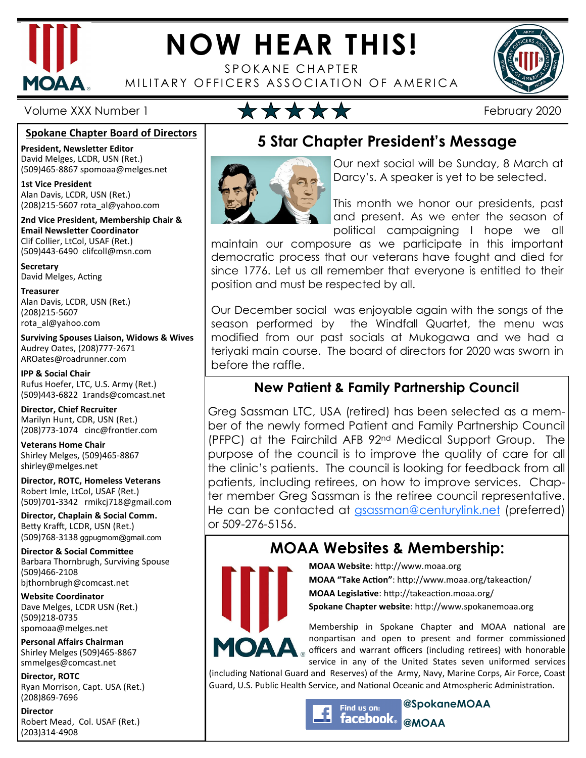

# **NOW HEAR THIS!**

SPOKANE CHAPTER MILITARY OFFICERS ASSOCIATION OF AMERICA



Volume XXX Number 1 **February 2020** 

#### **Spokane Chapter Board of Directors**

**President, Newsletter Editor**  David Melges, LCDR, USN (Ret.) (509)465-8867 spomoaa@melges.net

**1st Vice President**  Alan Davis, LCDR, USN (Ret.) (208)215-5607 rota\_al@yahoo.com

**2nd Vice President, Membership Chair & Email Newsletter Coordinator** Clif Collier, LtCol, USAF (Ret.) (509)443-6490 clifcoll@msn.com

**Secretary**  David Melges, Acting

**Treasurer**  Alan Davis, LCDR, USN (Ret.) (208)215-5607 rota\_al@yahoo.com

**Surviving Spouses Liaison, Widows & Wives**  Audrey Oates, (208)777-2671 AROates@roadrunner.com

**IPP & Social Chair**  Rufus Hoefer, LTC, U.S. Army (Ret.) (509)443-6822 1rands@comcast.net

**Director, Chief Recruiter**  Marilyn Hunt, CDR, USN (Ret.) (208)773-1074 cinc@frontier.com

**Veterans Home Chair**  Shirley Melges, (509)465-8867 shirley@melges.net

**Director, ROTC, Homeless Veterans**  Robert Imle, LtCol, USAF (Ret.) (509)701-3342 rmikcj718@gmail.com

**Director, Chaplain & Social Comm.** Betty Krafft, LCDR, USN (Ret.) (509)768-3138 ggpugmom@gmail.com

**Director & Social Committee** Barbara Thornbrugh, Surviving Spouse (509)466-2108 bjthornbrugh@comcast.net

**Website Coordinator**  Dave Melges, LCDR USN (Ret.) (509)218-0735 spomoaa@melges.net

**Personal Affairs Chairman**  Shirley Melges (509)465-8867 smmelges@comcast.net

**Director, ROTC**  Ryan Morrison, Capt. USA (Ret.) (208)869-7696

**Director**  Robert Mead, Col. USAF (Ret.) (203)314-4908

## **5 Star Chapter President's Message**



Our next social will be Sunday, 8 March at Darcy's. A speaker is yet to be selected.

This month we honor our presidents, past and present. As we enter the season of political campaigning I hope we all

maintain our composure as we participate in this important democratic process that our veterans have fought and died for since 1776. Let us all remember that everyone is entitled to their position and must be respected by all.

Our December social was enjoyable again with the songs of the season performed by the Windfall Quartet, the menu was modified from our past socials at Mukogawa and we had a teriyaki main course. The board of directors for 2020 was sworn in before the raffle.

### **New Patient & Family Partnership Council**

Greg Sassman LTC, USA (retired) has been selected as a member of the newly formed Patient and Family Partnership Council (PFPC) at the Fairchild AFB 92nd Medical Support Group. The purpose of the council is to improve the quality of care for all the clinic's patients. The council is looking for feedback from all patients, including retirees, on how to improve services. Chapter member Greg Sassman is the retiree council representative. He can be contacted at gsassman@centurylink.net (preferred) or 509-276-5156.

## **MOAA Websites & Membership:**



**MOAA Website: http://www.moaa.org MOAA "Take Action"**: http://www.moaa.org/takeaction/ **MOAA Legislative**: http://takeaction.moaa.org/ **Spokane Chapter website**: http://www.spokanemoaa.org

Membership in Spokane Chapter and MOAA national are nonpartisan and open to present and former commissioned officers and warrant officers (including retirees) with honorable service in any of the United States seven uniformed services

(including National Guard and Reserves) of the Army, Navy, Marine Corps, Air Force, Coast Guard, U.S. Public Health Service, and National Oceanic and Atmospheric Administration.

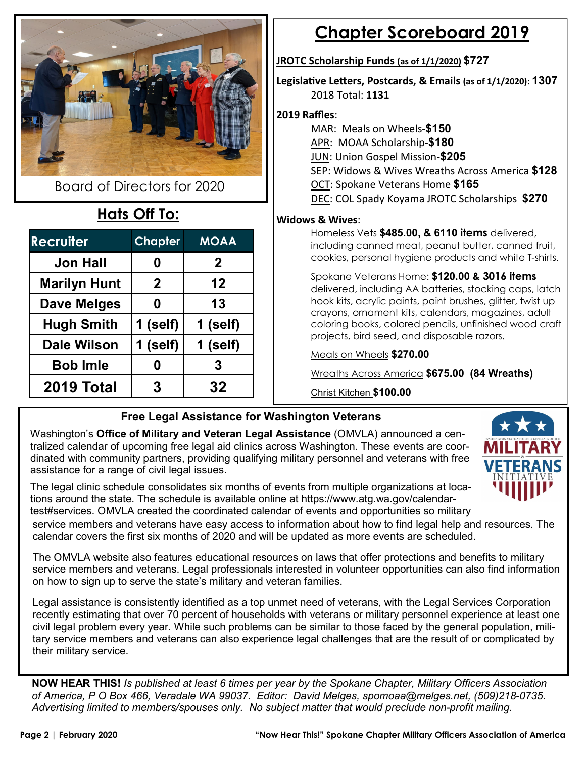

Board of Directors for 2020

## **Hats Off To:**

| <b>Recruiter</b>    | <b>Chapter</b> | <b>MOAA</b> |
|---------------------|----------------|-------------|
| <b>Jon Hall</b>     | 0              | $\mathbf 2$ |
| <b>Marilyn Hunt</b> | $\mathbf 2$    | 12          |
| Dave Melges         | 0              | 13          |
| <b>Hugh Smith</b>   | 1 (self)       | 1 (self)    |
| <b>Dale Wilson</b>  | 1 (self)       | 1 (self)    |
| <b>Bob Imle</b>     | 0              | 3           |
| 2019 Total          | 3              | 32          |

## **Chapter Scoreboard 2019**

#### **JROTC Scholarship Funds (as of 1/1/2020) \$727**

Legislative Letters, Postcards, & Emails (as of 1/1/2020): **1307** 2018 Total: **1131** 

#### **2019 Raffles**:

- MAR: Meals on Wheels-**\$150** APR: MOAA Scholarship-**\$180** JUN: Union Gospel Mission-**\$205**
- 
- SEP: Widows & Wives Wreaths Across America **\$128**
- OCT: Spokane Veterans Home **\$165**
- DEC: COL Spady Koyama JROTC Scholarships **\$270**

### **Widows & Wives**:

Homeless Vets **\$485.00, & 6110 items** delivered, including canned meat, peanut butter, canned fruit, cookies, personal hygiene products and white T-shirts.

#### Spokane Veterans Home: **\$120.00 & 3016 items**  delivered, including AA batteries, stocking caps, latch hook kits, acrylic paints, paint brushes, glitter, twist up

crayons, ornament kits, calendars, magazines, adult coloring books, colored pencils, unfinished wood craft projects, bird seed, and disposable razors.

Meals on Wheels **\$270.00** 

Wreaths Across America **\$675.00 (84 Wreaths)** 

Christ Kitchen **\$100.00**

## **Free Legal Assistance for Washington Veterans**

Washington's **Office of Military and Veteran Legal Assistance** (OMVLA) announced a centralized calendar of upcoming free legal aid clinics across Washington. These events are coordinated with community partners, providing qualifying military personnel and veterans with free assistance for a range of civil legal issues.



The legal clinic schedule consolidates six months of events from multiple organizations at locations around the state. The schedule is available online at https://www.atg.wa.gov/calendartest#services. OMVLA created the coordinated calendar of events and opportunities so military service members and veterans have easy access to information about how to find legal help and resources. The calendar covers the first six months of 2020 and will be updated as more events are scheduled.

The OMVLA website also features educational resources on laws that offer protections and benefits to military service members and veterans. Legal professionals interested in volunteer opportunities can also find information on how to sign up to serve the state's military and veteran families.

Legal assistance is consistently identified as a top unmet need of veterans, with the Legal Services Corporation recently estimating that over 70 percent of households with veterans or military personnel experience at least one civil legal problem every year. While such problems can be similar to those faced by the general population, military service members and veterans can also experience legal challenges that are the result of or complicated by their military service.

**NOW HEAR THIS!** *Is published at least 6 times per year by the Spokane Chapter, Military Officers Association of America, P O Box 466, Veradale WA 99037. Editor: David Melges, spomoaa@melges.net, (509)218-0735. Advertising limited to members/spouses only. No subject matter that would preclude non-profit mailing.*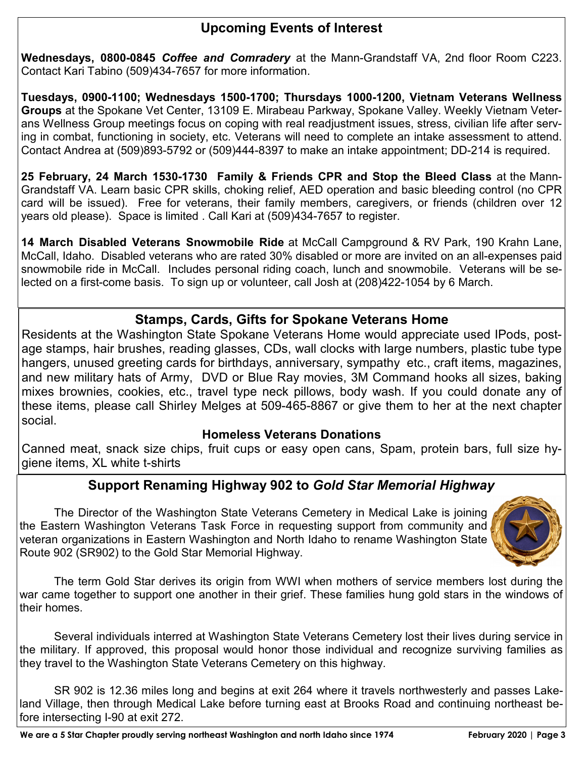### **Upcoming Events of Interest**

**Wednesdays, 0800-0845** *Coffee and Comradery* at the Mann-Grandstaff VA, 2nd floor Room C223. Contact Kari Tabino (509)434-7657 for more information.

**Tuesdays, 0900-1100; Wednesdays 1500-1700; Thursdays 1000-1200, Vietnam Veterans Wellness Groups** at the Spokane Vet Center, 13109 E. Mirabeau Parkway, Spokane Valley. Weekly Vietnam Veterans Wellness Group meetings focus on coping with real readjustment issues, stress, civilian life after serving in combat, functioning in society, etc. Veterans will need to complete an intake assessment to attend. Contact Andrea at (509)893-5792 or (509)444-8397 to make an intake appointment; DD-214 is required.

**25 February, 24 March 1530-1730 Family & Friends CPR and Stop the Bleed Class** at the Mann-Grandstaff VA. Learn basic CPR skills, choking relief, AED operation and basic bleeding control (no CPR card will be issued). Free for veterans, their family members, caregivers, or friends (children over 12 years old please). Space is limited . Call Kari at (509)434-7657 to register.

**14 March Disabled Veterans Snowmobile Ride** at McCall Campground & RV Park, 190 Krahn Lane, McCall, Idaho. Disabled veterans who are rated 30% disabled or more are invited on an all-expenses paid snowmobile ride in McCall. Includes personal riding coach, lunch and snowmobile. Veterans will be selected on a first-come basis. To sign up or volunteer, call Josh at (208)422-1054 by 6 March.

### **Stamps, Cards, Gifts for Spokane Veterans Home**

Residents at the Washington State Spokane Veterans Home would appreciate used IPods, postage stamps, hair brushes, reading glasses, CDs, wall clocks with large numbers, plastic tube type hangers, unused greeting cards for birthdays, anniversary, sympathy etc., craft items, magazines, and new military hats of Army, DVD or Blue Ray movies, 3M Command hooks all sizes, baking mixes brownies, cookies, etc., travel type neck pillows, body wash. If you could donate any of these items, please call Shirley Melges at 509-465-8867 or give them to her at the next chapter social.

#### **Homeless Veterans Donations**

Canned meat, snack size chips, fruit cups or easy open cans, Spam, protein bars, full size hygiene items, XL white t-shirts

### **Support Renaming Highway 902 to** *Gold Star Memorial Highway*

 The Director of the Washington State Veterans Cemetery in Medical Lake is joining the Eastern Washington Veterans Task Force in requesting support from community and veteran organizations in Eastern Washington and North Idaho to rename Washington State Route 902 (SR902) to the Gold Star Memorial Highway.



 The term Gold Star derives its origin from WWI when mothers of service members lost during the war came together to support one another in their grief. These families hung gold stars in the windows of their homes.

 Several individuals interred at Washington State Veterans Cemetery lost their lives during service in the military. If approved, this proposal would honor those individual and recognize surviving families as they travel to the Washington State Veterans Cemetery on this highway.

 SR 902 is 12.36 miles long and begins at exit 264 where it travels northwesterly and passes Lakeland Village, then through Medical Lake before turning east at Brooks Road and continuing northeast before intersecting I-90 at exit 272.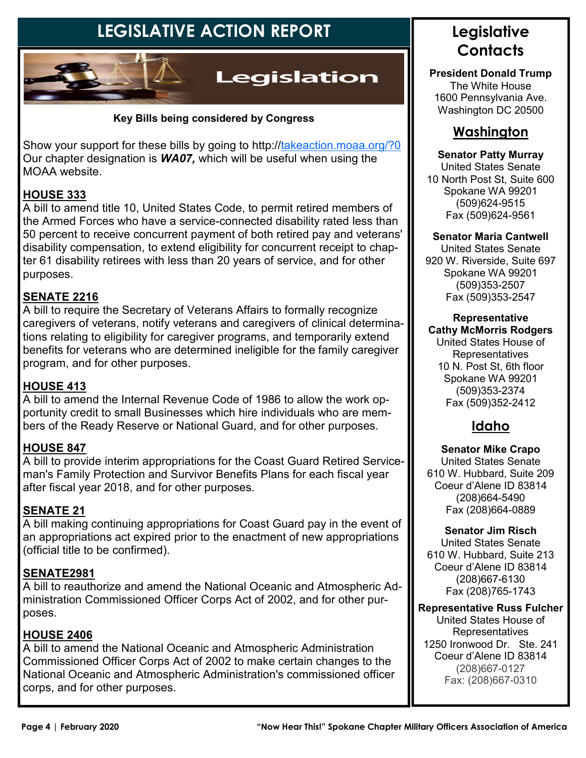## **LEGISLATIVE ACTION REPORT**



#### **Key Bills being considered by Congress**

Show your support for these bills by going to http://takeaction.moaa.org/?0 Our chapter designation is *WA07,* which will be useful when using the MOAA website.

#### **HOUSE 333**

A bill to amend title 10, United States Code, to permit retired members of the Armed Forces who have a service-connected disability rated less than 50 percent to receive concurrent payment of both retired pay and veterans' disability compensation, to extend eligibility for concurrent receipt to chapter 61 disability retirees with less than 20 years of service, and for other purposes.

#### **SENATE 2216**

A bill to require the Secretary of Veterans Affairs to formally recognize caregivers of veterans, notify veterans and caregivers of clinical determinations relating to eligibility for caregiver programs, and temporarily extend benefits for veterans who are determined ineligible for the family caregiver program, and for other purposes.

#### **HOUSE 413**

A bill to amend the Internal Revenue Code of 1986 to allow the work opportunity credit to small Businesses which hire individuals who are members of the Ready Reserve or National Guard, and for other purposes.

#### **HOUSE 847**

A bill to provide interim appropriations for the Coast Guard Retired Serviceman's Family Protection and Survivor Benefits Plans for each fiscal year after fiscal year 2018, and for other purposes.

#### **SENATE 21**

A bill making continuing appropriations for Coast Guard pay in the event of an appropriations act expired prior to the enactment of new appropriations (official title to be confirmed).

#### **SENATE2981**

A bill to reauthorize and amend the National Oceanic and Atmospheric Administration Commissioned Officer Corps Act of 2002, and for other purposes.

#### **HOUSE 2406**

A bill to amend the National Oceanic and Atmospheric Administration Commissioned Officer Corps Act of 2002 to make certain changes to the National Oceanic and Atmospheric Administration's commissioned officer corps, and for other purposes.

## **Legislative Contacts**

**President Donald Trump**  The White House 1600 Pennsylvania Ave. Washington DC 20500

### **Washington**

#### **Senator Patty Murray**

United States Senate 10 North Post St, Suite 600 Spokane WA 99201 (509)624-9515 Fax (509)624-9561

#### **Senator Maria Cantwell**

United States Senate 920 W. Riverside, Suite 697 Spokane WA 99201 (509)353-2507 Fax (509)353-2547

#### **Representative Cathy McMorris Rodgers**

United States House of **Representatives** 10 N. Post St, 6th floor Spokane WA 99201 (509)353-2374 Fax (509)352-2412

### **Idaho**

**Senator Mike Crapo** United States Senate 610 W. Hubbard, Suite 209 Coeur d'Alene ID 83814 (208)664-5490 Fax (208)664-0889

#### **Senator Jim Risch**

United States Senate 610 W. Hubbard, Suite 213 Coeur d'Alene ID 83814 (208)667-6130 Fax (208)765-1743

#### **Representative Russ Fulcher**

United States House of **Representatives** 1250 Ironwood Dr. Ste. 241 Coeur d'Alene ID 83814 (208)667-0127 Fax: (208)667-0310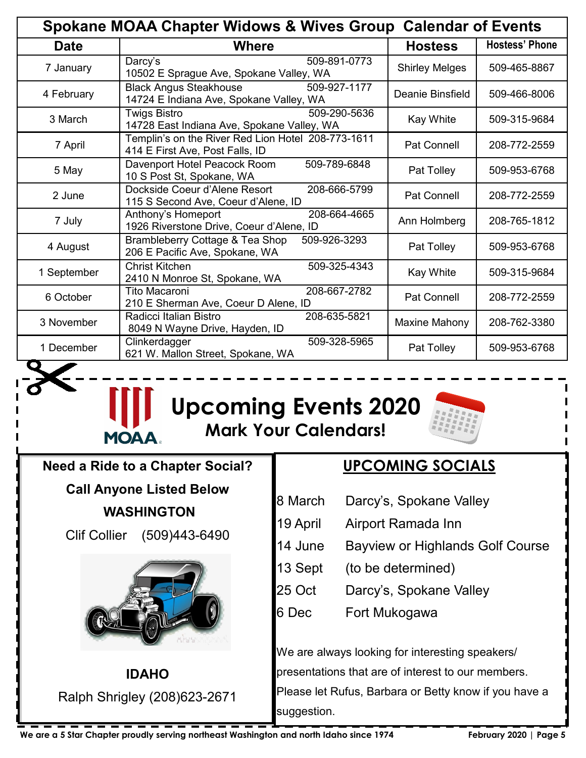| <b>Spokane MOAA Chapter Widows &amp; Wives Group Calendar of Events</b> |                                                                                          |                       |                       |  |  |
|-------------------------------------------------------------------------|------------------------------------------------------------------------------------------|-----------------------|-----------------------|--|--|
| <b>Date</b>                                                             | <b>Where</b>                                                                             | <b>Hostess</b>        | <b>Hostess' Phone</b> |  |  |
| 7 January                                                               | 509-891-0773<br>Darcy's<br>10502 E Sprague Ave, Spokane Valley, WA                       | <b>Shirley Melges</b> | 509-465-8867          |  |  |
| 4 February                                                              | <b>Black Angus Steakhouse</b><br>509-927-1177<br>14724 E Indiana Ave, Spokane Valley, WA | Deanie Binsfield      | 509-466-8006          |  |  |
| 3 March                                                                 | 509-290-5636<br>Twigs Bistro<br>14728 East Indiana Ave, Spokane Valley, WA               | <b>Kay White</b>      | 509-315-9684          |  |  |
| 7 April                                                                 | Templin's on the River Red Lion Hotel 208-773-1611<br>414 E First Ave, Post Falls, ID    | Pat Connell           | 208-772-2559          |  |  |
| 5 May                                                                   | Davenport Hotel Peacock Room<br>509-789-6848<br>10 S Post St, Spokane, WA                | Pat Tolley            | 509-953-6768          |  |  |
| 2 June                                                                  | Dockside Coeur d'Alene Resort<br>208-666-5799<br>115 S Second Ave, Coeur d'Alene, ID     | <b>Pat Connell</b>    | 208-772-2559          |  |  |
| 7 July                                                                  | 208-664-4665<br>Anthony's Homeport<br>1926 Riverstone Drive, Coeur d'Alene, ID           | Ann Holmberg          | 208-765-1812          |  |  |
| 4 August                                                                | Brambleberry Cottage & Tea Shop<br>509-926-3293<br>206 E Pacific Ave, Spokane, WA        | Pat Tolley            | 509-953-6768          |  |  |
| 1 September                                                             | <b>Christ Kitchen</b><br>509-325-4343<br>2410 N Monroe St, Spokane, WA                   | <b>Kay White</b>      | 509-315-9684          |  |  |
| 6 October                                                               | 208-667-2782<br>Tito Macaroni<br>210 E Sherman Ave, Coeur D Alene, ID                    | <b>Pat Connell</b>    | 208-772-2559          |  |  |
| 3 November                                                              | 208-635-5821<br>Radicci Italian Bistro<br>8049 N Wayne Drive, Hayden, ID                 | Maxine Mahony         | 208-762-3380          |  |  |
| 1 December                                                              | Clinkerdagger<br>509-328-5965<br>621 W. Mallon Street, Spokane, WA                       | Pat Tolley            | 509-953-6768          |  |  |



## **Upcoming Events 2020 Mark Your Calendars!**



**Need a Ride to a Chapter Social? Call Anyone Listed Below** 

 **WASHINGTON** 

Clif Collier (509)443-6490



**IDAHO**  Ralph Shrigley (208)623-2671

 $\overline{\phantom{a}}$ 

## **UPCOMING SOCIALS**

- 8 March Darcy's, Spokane Valley
- 19 April Airport Ramada Inn
- 14 June Bayview or Highlands Golf Course
- 13 Sept (to be determined)
- 25 Oct Darcy's, Spokane Valley
- 6 Dec Fort Mukogawa

We are always looking for interesting speakers/ presentations that are of interest to our members. Please let Rufus, Barbara or Betty know if you have a suggestion.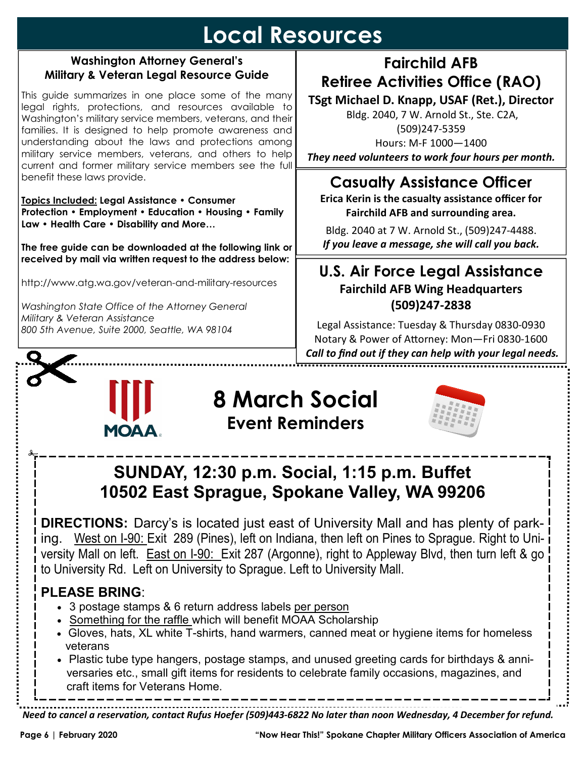## **Local Resources**

#### **Washington Attorney General's Military & Veteran Legal Resource Guide**

This guide summarizes in one place some of the many legal rights, protections, and resources available to Washington's military service members, veterans, and their families. It is designed to help promote awareness and understanding about the laws and protections among military service members, veterans, and others to help current and former military service members see the full benefit these laws provide.

**Topics Included: Legal Assistance • Consumer Protection • Employment • Education • Housing • Family Law • Health Care • Disability and More…** 

**The free guide can be downloaded at the following link or received by mail via written request to the address below:** 

http://www.atg.wa.gov/veteran-and-military-resources

*Washington State Office of the Attorney General Military & Veteran Assistance 800 5th Avenue, Suite 2000, Seattle, WA 98104* 

## **Fairchild AFB Retiree Activities Office (RAO)**

**TSgt Michael D. Knapp, USAF (Ret.), Director** 

 Bldg. 2040, 7 W. Arnold St., Ste. C2A, (509)247-5359 Hours: M-F 1000—1400 *They need volunteers to work four hours per month.* 

## **Casualty Assistance Officer**

**Erica Kerin is the casualty assistance officer for Fairchild AFB and surrounding area.** 

Bldg. 2040 at 7 W. Arnold St., (509)247-4488. *If you leave a message, she will call you back.* 

### **U.S. Air Force Legal Assistance Fairchild AFB Wing Headquarters (509)247-2838**

Legal Assistance: Tuesday & Thursday 0830-0930 Notary & Power of Attorney: Mon-Fri 0830-1600  *Call to find out if they can help with your legal needs.*  



## **8 March Social Event Reminders**



## **SUNDAY, 12:30 p.m. Social, 1:15 p.m. Buffet 10502 East Sprague, Spokane Valley, WA 99206**

**DIRECTIONS:** Darcy's is located just east of University Mall and has plenty of parking. West on I-90: Exit 289 (Pines), left on Indiana, then left on Pines to Sprague. Right to University Mall on left. East on I-90: Exit 287 (Argonne), right to Appleway Blvd, then turn left & go to University Rd. Left on University to Sprague. Left to University Mall.

## **PLEASE BRING**:

- 3 postage stamps & 6 return address labels per person
- Something for the raffle which will benefit MOAA Scholarship
- Gloves, hats, XL white T-shirts, hand warmers, canned meat or hygiene items for homeless veterans
- Plastic tube type hangers, postage stamps, and unused greeting cards for birthdays & anniversaries etc., small gift items for residents to celebrate family occasions, magazines, and craft items for Veterans Home.

*Need to cancel a reservation, contact Rufus Hoefer (509)443-6822 No later than noon Wednesday, 4 December for refund.*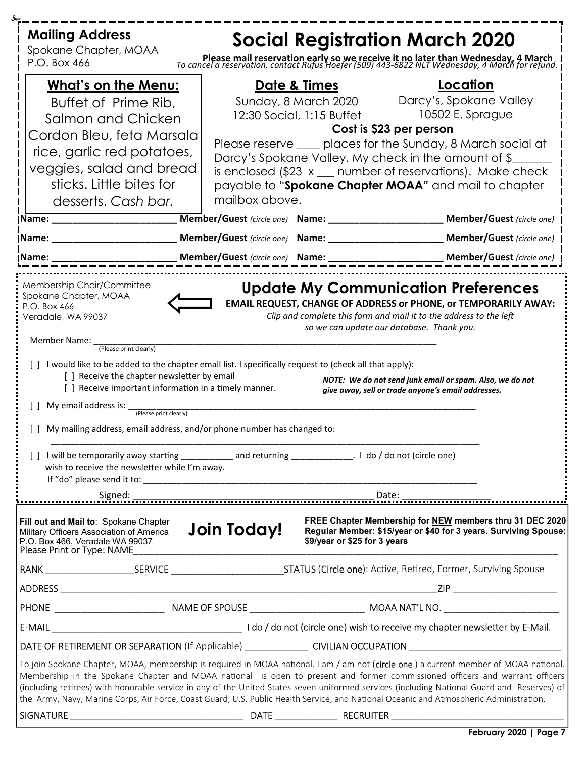| <b>Mailing Address</b>                                                                                                                                                                                             | <b>Social Registration March 2020</b>                                                                                                            |                                                                                                                                                                                                                                                                                                                                                                                                                      |
|--------------------------------------------------------------------------------------------------------------------------------------------------------------------------------------------------------------------|--------------------------------------------------------------------------------------------------------------------------------------------------|----------------------------------------------------------------------------------------------------------------------------------------------------------------------------------------------------------------------------------------------------------------------------------------------------------------------------------------------------------------------------------------------------------------------|
| Spokane Chapter, MOAA<br>P.O. Box 466                                                                                                                                                                              |                                                                                                                                                  | Please mail reservation early so we receive it no later than Wednesday, 4 March<br>To cancel a reservation, contact Rufus Hoefer (509) 443-6822 NLT Wednesday, 4 March for refund.                                                                                                                                                                                                                                   |
| <b>What's on the Menu:</b><br>Buffet of Prime Rib,<br>Salmon and Chicken<br>Cordon Bleu, feta Marsala<br>rice, garlic red potatoes,<br>veggies, salad and bread<br>sticks. Little bites for<br>desserts. Cash bar. | <u>Date &amp; Times</u><br>12:30 Social, 1:15 Buffet 10502 E. Sprague<br>Darcy's Spokane Valley. My check in the amount of \$_<br>mailbox above. | Location<br>Sunday, 8 March 2020 Darcy's, Spokane Valley<br>Cost is \$23 per person<br>Please reserve ____ places for the Sunday, 8 March social at<br>is enclosed $$23 x$ number of reservations). Make check<br>payable to "Spokane Chapter MOAA" and mail to chapter                                                                                                                                              |
| Name: __________________________                                                                                                                                                                                   |                                                                                                                                                  | Member/Guest (circle one) Name: __________________________ Member/Guest (circle one)                                                                                                                                                                                                                                                                                                                                 |
|                                                                                                                                                                                                                    |                                                                                                                                                  |                                                                                                                                                                                                                                                                                                                                                                                                                      |
|                                                                                                                                                                                                                    |                                                                                                                                                  |                                                                                                                                                                                                                                                                                                                                                                                                                      |
| Member Name: _<br>(Please print clearly)<br>[] Receive the chapter newsletter by email<br>[] Receive important information in a timely manner.<br>$\Box$                                                           | [ ] I would like to be added to the chapter email list. I specifically request to (check all that apply):                                        | so we can update our database. Thank you.<br>NOTE: We do not send junk email or spam. Also, we do not<br>give away, sell or trade anyone's email addresses.                                                                                                                                                                                                                                                          |
| My email address is: <i>(Please print clearly)</i><br>My mailing address, email address, and/or phone number has changed to:<br>wish to receive the newsletter while I'm away.                                     | [] I will be temporarily away starting _______________ and returning ___________________. I do / do not (circle one)                             |                                                                                                                                                                                                                                                                                                                                                                                                                      |
|                                                                                                                                                                                                                    |                                                                                                                                                  |                                                                                                                                                                                                                                                                                                                                                                                                                      |
| Fill out and Mail to: Spokane Chapter<br>Military Officers Association of America<br>P.O. Box 466, Veradale WA 99037<br>Please Print or Type: NAME                                                                 | <b>Join Today!</b><br>\$9/year or \$25 for 3 years                                                                                               | FREE Chapter Membership for NEW members thru 31 DEC 2020<br>Regular Member: \$15/year or \$40 for 3 years. Surviving Spouse:                                                                                                                                                                                                                                                                                         |
|                                                                                                                                                                                                                    |                                                                                                                                                  |                                                                                                                                                                                                                                                                                                                                                                                                                      |
|                                                                                                                                                                                                                    |                                                                                                                                                  | ZIP __________________________                                                                                                                                                                                                                                                                                                                                                                                       |
|                                                                                                                                                                                                                    |                                                                                                                                                  |                                                                                                                                                                                                                                                                                                                                                                                                                      |
|                                                                                                                                                                                                                    |                                                                                                                                                  |                                                                                                                                                                                                                                                                                                                                                                                                                      |
|                                                                                                                                                                                                                    |                                                                                                                                                  | <b>DATE OF RETIREMENT OR SEPARATION</b> (If Applicable) <b>CIVILIAN OCCUPATION</b>                                                                                                                                                                                                                                                                                                                                   |
| the Army, Navy, Marine Corps, Air Force, Coast Guard, U.S. Public Health Service, and National Oceanic and Atmospheric Administration.                                                                             |                                                                                                                                                  | To join Spokane Chapter, MOAA, membership is required in MOAA national. I am / am not (circle one) a current member of MOAA national.<br>Membership in the Spokane Chapter and MOAA national is open to present and former commissioned officers and warrant officers<br>(including retirees) with honorable service in any of the United States seven uniformed services (including National Guard and Reserves) of |
|                                                                                                                                                                                                                    |                                                                                                                                                  |                                                                                                                                                                                                                                                                                                                                                                                                                      |